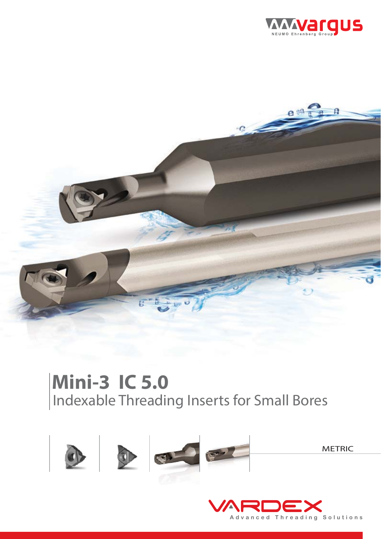



# Indexable Threading Inserts for Small Bores **Mini-3 IC 5.0**



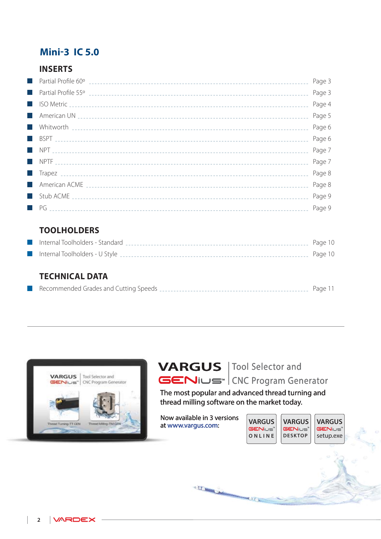# **Mini-3 IC 5.0**

### **INSERTS**

|           | Page 3 |
|-----------|--------|
|           | Page 3 |
|           | Page 4 |
|           | Page 5 |
| l a       | Page 6 |
| H.        | Page 6 |
|           | Page 7 |
|           | Page 7 |
| $\sim 10$ | Page 8 |
|           | Page 8 |
|           | Page 9 |
|           | Page 9 |

### **TOOLHOLDERS**

| Internal Toolholders - Standard | Page 10 |
|---------------------------------|---------|
| Internal Toolholders - U Style  | Page 10 |

### **TECHNICAL DATA**

| Recommended Grades and Cutting Speeds |  |
|---------------------------------------|--|
|---------------------------------------|--|





The most popular and advanced thread turning and thread milling software on the market today.

**CUG** 

Now available in 3 versions at www.vargus.com:

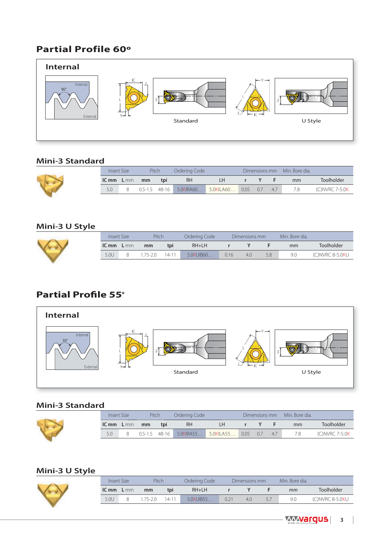# **Partial Profile 60º**



#### **Mini-3 Standard**

|       | <b>Insert Size</b> | Pitch |     | Ordering Code               |           |      |     |    | Dimensions mm Min. Bore dia. |                |
|-------|--------------------|-------|-----|-----------------------------|-----------|------|-----|----|------------------------------|----------------|
| IC mm | L <sub>mm</sub>    | mm    | tpi | RH                          | 1 H       |      |     |    | mm                           | Toolholder     |
| 5.0   |                    |       |     | $0.5 - 1.5$ 48-16 5.0KIRA60 | 5.0KILA60 | 0.05 | 0.7 | 47 | 7.8                          | (C)NVRC 7-5.0K |

### **Mini-3 U Style**



| Insert Size  |  | Pitch  |       | Ordering Code I |     | Dimensions mm |     | Min. Bore dia. |                  |
|--------------|--|--------|-------|-----------------|-----|---------------|-----|----------------|------------------|
| $ICmm$ $Lmm$ |  | mm     | tpi   | $RH+LH$         |     |               |     | mm             | Toolholder       |
| 5.0U         |  | 175-20 | 14-11 | 5.0KUIB60       | 016 | 4.0           | 5.8 | 9.0            | (C) NVRC 8-5.0KU |

# **Partial Profile 55º**



#### **Mini-3 Standard**

| Insert Size  | Pitch       |         | Ordering Code |           |            | Dimensions mm |     | Min. Bore dia. |                |
|--------------|-------------|---------|---------------|-----------|------------|---------------|-----|----------------|----------------|
| $ICmm$ $Lmm$ | mm          | tpi     | <b>RH</b>     | LH        |            |               |     | mm             | Toolholder     |
| 5.0          | $0.5 - 1.5$ | $48-16$ | 5.0KIRA55     | 5.0KILA55 | $0.05$ 0.7 |               | 4.7 | 7.8            | (C)NVRC 7-5.0K |
|              |             |         |               |           |            |               |     |                |                |

#### **Mini-3 U Style**

| Insert Size  |  | Pitch  |           | Ordering Code I | Dimensions mm | Min. Bore dia. |                  |
|--------------|--|--------|-----------|-----------------|---------------|----------------|------------------|
| $ICmm$ $Lmm$ |  | mm     | tpi       | $RH+LH$         |               | mm             | Toolholder       |
| 5.0U         |  | 75-2 O | $14 - 11$ | 5.0KUIB55       | 4.0           | 9.0            | (C) NVRC 8-5.0KU |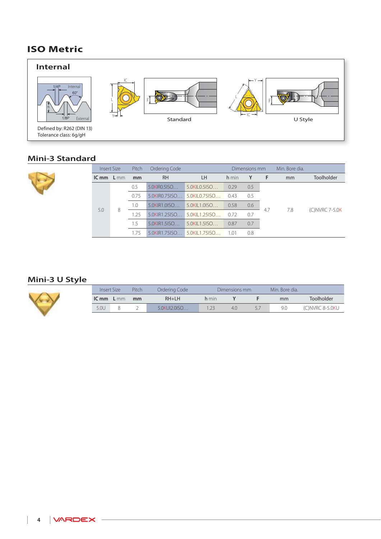# **ISO Metric**



#### **Mini-3 Standard**



| <b>Insert Size</b> |  | Pitch | Ordering Code        |                             |       | Dimensions mm |     | Min. Bore dia. |                |  |  |  |  |  |  |   |      |                  |                |      |     |  |  |  |
|--------------------|--|-------|----------------------|-----------------------------|-------|---------------|-----|----------------|----------------|--|--|--|--|--|--|---|------|------------------|----------------|------|-----|--|--|--|
| $ICmm$ $Lmm$       |  | mm    | <b>RH</b>            | <b>LH</b>                   | h min | Y             | - F | mm             | Toolholder     |  |  |  |  |  |  |   |      |                  |                |      |     |  |  |  |
|                    |  | 0.5   | 5.0KIR0.5ISO         | 5.0KIL0.5ISO                | 0.29  | 0.5           |     |                |                |  |  |  |  |  |  |   |      |                  |                |      |     |  |  |  |
|                    |  | 0.75  | $5.0$ KIRO. $75$ ISO | $5.0$ KII 0.751SO           | 0.43  | 0.5           |     |                | (C)NVRC 7-5.0K |  |  |  |  |  |  |   |      |                  |                |      |     |  |  |  |
| 5.0                |  | 1.0   | $5.0$ KIR1.0ISO      | $5.0$ KII 1.0150            | 0.58  | $0.6^{\circ}$ | 4.7 | 7.8            |                |  |  |  |  |  |  |   |      |                  |                |      |     |  |  |  |
|                    |  |       |                      |                             |       |               |     |                |                |  |  |  |  |  |  | 8 | 1.25 | $5.0$ KIR1.25ISO | 5.0KII 1.25150 | 0.72 | 0.7 |  |  |  |
|                    |  | 1.5   | $5.0$ KIR1.5ISO      | $5.0$ KII $1.5$ ISO         | 0.87  | 0.7           |     |                |                |  |  |  |  |  |  |   |      |                  |                |      |     |  |  |  |
|                    |  | 1.75  |                      | 5.0KIR1.75ISO 5.0KIL1.75ISO | 1.01  | 0.8           |     |                |                |  |  |  |  |  |  |   |      |                  |                |      |     |  |  |  |

### **Mini-3 U Style**



| Insert Size |        | Pitch | Ordering Code       |       | Dimensions mm |     | Min. Bore dia. |                 |
|-------------|--------|-------|---------------------|-------|---------------|-----|----------------|-----------------|
| IC mm       | $L$ mm | mm    | $RH+LH$             | h min |               |     | mm             | Toolholder      |
| 5.0U        |        |       | $5.0$ KUJ $2.0$ ISO |       | 4.0           | 5., | 9.0            | (C)NVRC 8-5.0KU |

 $\mathbb{R}$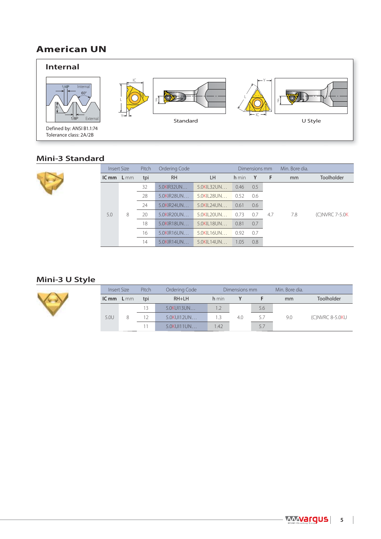# **American UN**



#### **Mini-3 Standard**

|  | Insert Size |   | Pitch | Ordering Code             |                        |            | Dimensions mm |      | Min. Bore dia. |                   |            |                   |     |  |
|--|-------------|---|-------|---------------------------|------------------------|------------|---------------|------|----------------|-------------------|------------|-------------------|-----|--|
|  | $ICmm$ L mm |   | tpi   | <b>RH</b>                 | LH.                    | h min      | Y             | - F  | mm             | <b>Toolholder</b> |            |                   |     |  |
|  |             |   | 32    | 5.0KIR32UN                | 5.0KIL32UN             | 0.46       | 0.5           |      |                |                   |            |                   |     |  |
|  |             |   | 28    | 5.0KIR28UN                | 5.0KII 28UN            | 0.52       | 0.6           |      |                |                   |            |                   |     |  |
|  |             |   | 24    | $5.0$ KIR <sub>24UN</sub> | $5.0$ KII 24UN         | 0.61       | 0.6           |      |                |                   |            |                   |     |  |
|  | 5.0         | 8 |       |                           | 20                     | 5.0KIR20UN | 5.0KIL20UN    | 0.73 | 0.7            | 4.7               | 7.8        | $(C)$ NVRC 7-5.0K |     |  |
|  |             |   |       |                           |                        |            |               |      | 18             | 5.0KIR18UN        | 5.0KIL18UN | 0.81              | 0.7 |  |
|  |             |   | 16    | 5.0KIR16UN                | $5.0$ KII $16$ UN      | 0.92       | 0.7           |      |                |                   |            |                   |     |  |
|  |             |   | 14    | 5.0KIR14UN                | $5.0$ KII 14UN $\dots$ | 1.05       | 0.8           |      |                |                   |            |                   |     |  |

### **Mini-3 U Style**



|      | Insert Size |        | Pitch | Ordering Code<br>Dimensions mm |       |  |     | Min. Bore dia. |                   |  |  |  |  |  |    |            |     |     |     |     |                 |
|------|-------------|--------|-------|--------------------------------|-------|--|-----|----------------|-------------------|--|--|--|--|--|----|------------|-----|-----|-----|-----|-----------------|
|      | IC mm       | $L$ mm | tpi   | $RH+LH$                        | h min |  |     | mm             | <b>Toolholder</b> |  |  |  |  |  |    |            |     |     |     |     |                 |
|      |             |        | 13    | 5.0KU113UN                     | 1.2   |  | 5.6 |                |                   |  |  |  |  |  |    |            |     |     |     |     |                 |
| 5.0U |             | 8      |       |                                |       |  |     |                |                   |  |  |  |  |  | 12 | 5.0KU112UN | 1.3 | 4.0 | 5.7 | 9.0 | (C)NVRC 8-5.0KU |
|      |             |        |       | 5.0KU111UN                     | 1.42  |  | 5.7 |                |                   |  |  |  |  |  |    |            |     |     |     |     |                 |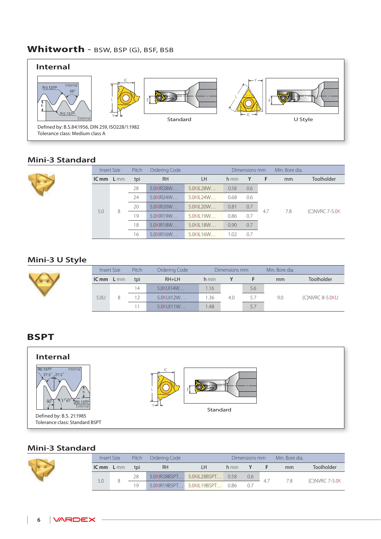# **Whitworth** - BSW, BSP (G), BSF, BSB



#### **Mini-3 Standard**



|              | Insert Size | Pitch | Ordering Code             |               | Dimensions mm |     | Min. Bore dia. |     |                      |
|--------------|-------------|-------|---------------------------|---------------|---------------|-----|----------------|-----|----------------------|
| $ICmm$ $Lmm$ |             | tpi   | <b>RH</b>                 | <b>LH</b>     | h min         | Υ   | F              | mm  | Toolholder           |
|              |             | 28    | 5.0KIR28W                 | 5.0KII 28W    | 0.58          | 0.6 |                |     |                      |
|              | 8           | 24    | $5.0$ KIR <sub>24</sub> W | $5.0$ KII 24W | 0.68          | 0.6 |                |     | $(C)$ NVRC 7-5.0 $K$ |
|              |             | 20    | 5.0KIR20W                 | 5.0KII 20W    | 0.81          | 0.7 | 4.7            | 7.8 |                      |
| 5.0          |             | 19    | 5.0KIR19W                 | 5.0KII 19W    | 0.86          | 0.7 |                |     |                      |
|              |             | 18    | 5.0KIR18W                 | 5.0KII 18W    | 0.90          | 0.7 |                |     |                      |
|              |             | 16    | 5.0KIR16W                 | 5.0KII 16W    | 1.02          | 0.7 |                |     |                      |

#### **Mini-3 U Style**

| Insert Size |          | Pitch | Ordering Code |       | Dimensions mm |     | Min. Bore dia. |                 |
|-------------|----------|-------|---------------|-------|---------------|-----|----------------|-----------------|
| IC mm       | $L_{mm}$ | tpi   | $RH+LH$       | h min |               |     | mm             | Toolholder      |
|             |          | 14    | 5.0KUI14W     | 1.16  |               | 5.6 |                |                 |
| 5.0U        |          | 12    | 5.0KUI12W     | 1.36  | 4.0           | 5.7 | 9.0            | (C)NVRC 8-5.0KU |
|             |          |       | 5.0KUI11W     | 1.48  |               | 5.7 |                |                 |

### **BSPT**



#### **Mini-3 Standard**

| Pitch<br>Insert Size |                 |     | Ordering Code | Dimensions mm             |       |     | Min. Bore dia. |     |                 |
|----------------------|-----------------|-----|---------------|---------------------------|-------|-----|----------------|-----|-----------------|
| IC mm                | L <sub>mm</sub> | tpi | <b>RH</b>     | LН                        | h min |     |                | mm  | Toolholder      |
| 5.0                  |                 | 28  | 5.0KIR28BSPT  | 5.0KIL28BSPT              | 0.58  | 0.6 |                | 7.8 |                 |
|                      |                 | 19  |               | 5.0KIR19BSPT 5.0KIL19BSPT | 0.86  | 07  |                |     | (C) NVRC 7-5.0K |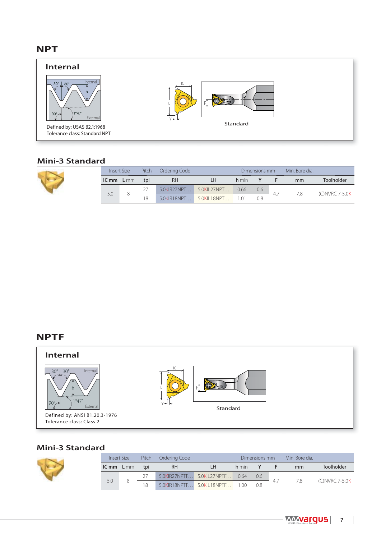## **NPT**



#### **Mini-3 Standard**

|              | Insert Size | Pitch | Ordering Code |             |       | Dimensions mm | Min. Bore dia. |                |
|--------------|-------------|-------|---------------|-------------|-------|---------------|----------------|----------------|
| $ICmm$ $Lmm$ |             | tpi   | <b>RH</b>     | ıн          | h min |               | mm             | Toolholder     |
|              |             |       | 5.0KIR27NPT   | 5.0KIL27NPT | 0.66  | 0.6           |                |                |
| 5.0          |             | 18    | 5.0KIR18NPT   | 5.0KIL18NPT | 1 0 1 | 0.8           | 7.8            | (C)NVRC 7-5.0K |

#### **NPTF**



### **Mini-3 Standard**

|     | Insert Size         | Pitch | Ordering Code |                                |       | Dimensions mm | Min. Bore dia. |                |
|-----|---------------------|-------|---------------|--------------------------------|-------|---------------|----------------|----------------|
|     | tpi<br>$ICmm$ $Lmm$ |       | <b>RH</b>     | I H                            | h min | Y             | mm             | Toolholder     |
|     |                     |       |               | 5.0KIR27NPTF 5.0KIL27NPTF      | 0.64  | 0.6           |                |                |
| 5.0 |                     | 18    |               | 5.0KIR18NPTF 5.0KIL18NPTF 1.00 |       | 0.8           | 7.8            | (C)NVRC 7-5.0K |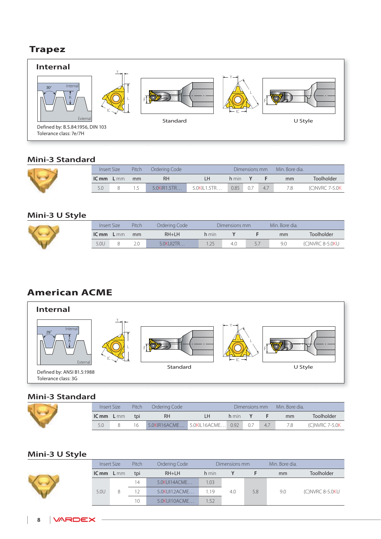# **Trapez**



#### **Mini-3 Standard**

I

| Insert Size |        | Pitch | Ordering Code | Min. Bore dia.<br>Dimensions mm |       |  |     |    |                   |
|-------------|--------|-------|---------------|---------------------------------|-------|--|-----|----|-------------------|
| IC mm       | $L$ mm | mm    | RH            |                                 | h min |  |     | mm | Toolholder        |
|             |        |       | 5.0KIR1.5TR   | 5.0KIL1.5TR                     | 0.85  |  | 4.7 |    | $(C)$ NVRC 7-5.0K |

#### **Mini-3 U Style**

|                   | Pitch<br>Insert Size |  | Ordering Code |       | Dimensions mm | Min. Bore dia. |                 |
|-------------------|----------------------|--|---------------|-------|---------------|----------------|-----------------|
| $ICmm$ L mm<br>mm |                      |  | $RH+LH$       | h min |               | <sub>mm</sub>  | Toolholder      |
| 5.0U              |                      |  | 5.0KUI2TR     | 1.25  | 4.0           | 9.0            | (C)NVRC 8-5.0KU |

# **American ACME**



#### **Mini-3 Standard**

|              | Insert Size | Pitch<br>Ordering Code |                           | Min. Bore dia.<br>Dimensions mm |       |     |     |     |                   |
|--------------|-------------|------------------------|---------------------------|---------------------------------|-------|-----|-----|-----|-------------------|
| $ICmm$ $Lmm$ |             | tpi                    | RH                        | LH.                             | h min |     |     | mm  | Toolholder        |
| 5.0          |             |                        | 5.0KIR16ACME 5.0KIL16ACME |                                 | 0.92  | 0.7 | 4.7 | 7.8 | $(C)$ NVRC 7-5.0K |

#### **Mini-3 U Style**

|       | Pitch<br>Insert Size |                 | Ordering Code |       | Dimensions mm |     | Min. Bore dia. |                   |
|-------|----------------------|-----------------|---------------|-------|---------------|-----|----------------|-------------------|
| IC mm | $L$ mm               | tpi             | $RH+LH$       | h min |               |     | mm             | <b>Toolholder</b> |
|       |                      | $\overline{4}$  | 5.0KUI14ACME  | .03   |               |     |                |                   |
| 5.0U  | 8                    | 12 <sub>1</sub> | 5.0KUI12ACME  | 1.19  | 4.0           | 5.8 | 9.0            | (C)NVRC 8-5.0KU   |
|       |                      | 10              | 5.0KUI10ACME  | 1.52  |               |     |                |                   |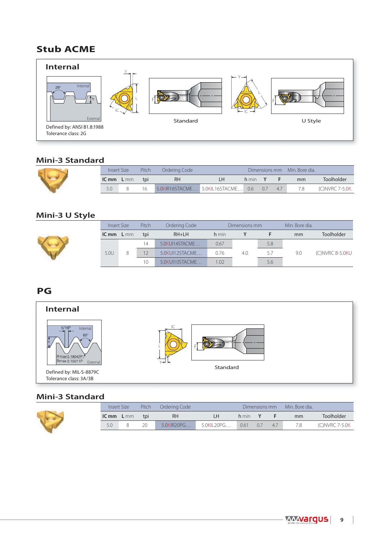# **Stub ACME**



#### **Mini-3 Standard**

| Pitch<br>Ordering Code<br>Insert Size |  |     |                                   | Dimensions mm Min. Bore dia. |       |     |     |    |                 |  |
|---------------------------------------|--|-----|-----------------------------------|------------------------------|-------|-----|-----|----|-----------------|--|
| $ICmm$ $Lmm$                          |  | tpi | RH                                | I H                          | h min |     |     | mm | Toolholder      |  |
|                                       |  |     | 5.0KIR16STACME 5.0KIL16STACME 0.6 |                              |       | 0.7 | 4.7 |    | (C) NVRC 7-5.0K |  |

#### **Mini-3 U Style**

| Insert Size |        | Pitch | Ordering Code  |       | Dimensions mm |     | Min. Bore dia. |                 |
|-------------|--------|-------|----------------|-------|---------------|-----|----------------|-----------------|
| IC mm       | $L$ mm | tpi   | $RH+LH$        | h min |               |     | mm             | Toolholder      |
|             |        | 14    | 5.0KUI14STACME | 0.67  |               | 5.8 |                |                 |
| 5.0U        | 8      |       | 5.0KUI12STACME | 0.76  | 4.0           | 5.7 | 9.0            | (C)NVRC 8-5.0KU |
|             |        | 10    | 5.0KUI10STACME | 1.02  |               | 5.6 |                |                 |

### **PG**



#### **Mini-3 Standard**

|     | Pitch                            | Ordering Code |            |       |    |     | Min. Bore dia. |                |
|-----|----------------------------------|---------------|------------|-------|----|-----|----------------|----------------|
|     | tpi                              | <b>RH</b>     |            | h min |    |     | mm             | Toolholder     |
| 5.0 | 20                               | 5.0KIR20PG    | 5.0KIL20PG | 0.61  | 07 | 4.7 | 78             | (C)NVRC 7-5.0K |
|     | Insert Size<br><b>IC mm</b> L mm |               |            |       |    |     | Dimensions mm  |                |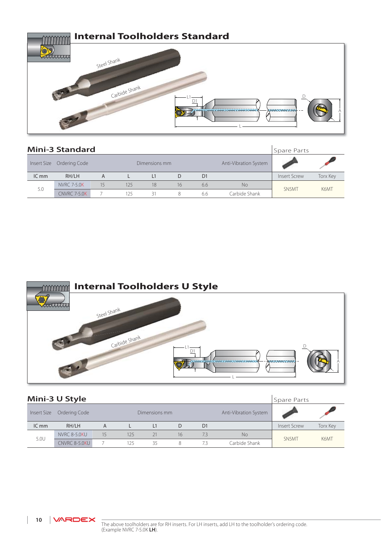

|             | <b>Mini-3 Standard</b> |    |     |               |                       |                |               | Spare Parts         |                 |
|-------------|------------------------|----|-----|---------------|-----------------------|----------------|---------------|---------------------|-----------------|
| Insert Size | Ordering Code          |    |     | Dimensions mm | Anti-Vibration System |                |               |                     |                 |
| ICmm        | RH/LH                  | A  |     | l 1           | D                     | D <sub>1</sub> |               | <b>Insert Screw</b> | <b>Torx Key</b> |
|             | <b>NVRC 7-5.0K</b>     | 15 | 125 | 18            | 16                    | 6.6            | <b>No</b>     |                     |                 |
| 5.0         | <b>CNVRC 7-5.0K</b>    |    | 125 | 31            | 8                     | 6.6            | Carbide Shank | SN5MT               | K6MT            |



|             | Mini-3 U Style      |    |               |    |    |                       |               | Spare Parts  |                 |
|-------------|---------------------|----|---------------|----|----|-----------------------|---------------|--------------|-----------------|
| Insert Size | Ordering Code       |    | Dimensions mm |    |    | Anti-Vibration System |               |              |                 |
| ICmm        | RH/LH               | A  |               | L1 | D  | D <sub>1</sub>        |               | Insert Screw | <b>Torx Key</b> |
| 5.0U        | <b>NVRC 8-5.0KU</b> | 15 | 125           | 21 | 16 | 7.3                   | <b>No</b>     |              |                 |
|             | CNVRC 8-5.0KU       |    | 125           | 35 | 8  | 7.3                   | Carbide Shank | SN5MT        | K6MT            |

10 | **VARDEX**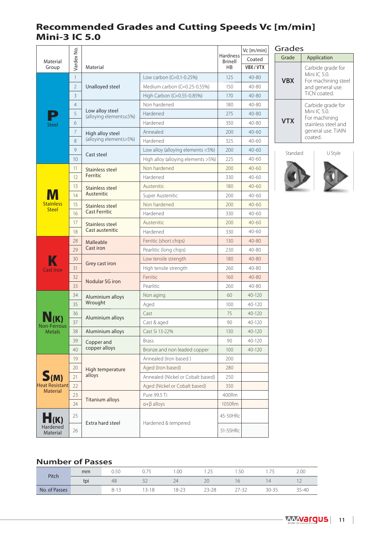# **Recommended Grades and Cutting Speeds Vc [m/min] Mini-3 IC 5.0**

|                      |                |                                           |                                         | Vc [m/min]        |           |
|----------------------|----------------|-------------------------------------------|-----------------------------------------|-------------------|-----------|
| Material<br>Group    | Vardex No.     | Material                                  | <b>Hardness</b><br><b>Brinell</b><br>HB | Coated<br>VBX/VTX |           |
| <b>Steel</b>         | $\mathbf{1}$   |                                           | Low carbon (C=0.1-0.25%)                | 125               | $40 - 80$ |
|                      | $\overline{2}$ | Unalloyed steel                           | Medium carbon (C=0.25-0.55%)            | 150               | $40 - 80$ |
|                      | 3              |                                           | High Carbon (C=0.55-0.85%)              | 170               | $40 - 80$ |
|                      | $\overline{4}$ |                                           | Non hardened                            | 180               | $40 - 80$ |
|                      | 5              | Low alloy steel<br>(alloying elements≤5%) | Hardened                                | 275               | 40-80     |
|                      | 6              |                                           | Hardened                                | 350               | $40 - 80$ |
|                      | $\overline{7}$ | High alloy steel                          | Annealed                                | 200               | $40 - 60$ |
|                      | 8              | (alloying elements>5%)                    | Hardened                                | 325               | $40 - 60$ |
|                      | 9              |                                           | Low alloy (alloying elements <5%)       | 200               | $40 - 60$ |
|                      | 10             | Cast steel                                | High alloy (alloying elements >5%)      | 225               | $40 - 60$ |
|                      | 11             | Stainless steel                           | Non hardened                            | 200               | $40 - 60$ |
|                      | 12             | Ferritic                                  | Hardened                                | 330               | $40 - 60$ |
|                      | 13             | Stainless steel                           | Austenitic                              | 180               | $40 - 60$ |
|                      | 14             | Austenitic                                | Super Austenitic                        | 200               | $40 - 60$ |
| <b>Stainless</b>     | 15             | Stainless steel                           | Non hardened                            | 200               | $40 - 60$ |
| <b>Steel</b>         | 16             | <b>Cast Ferritic</b>                      | Hardened                                | 330               | $40 - 60$ |
|                      | 17             | Stainless steel<br>Cast austenitic        | Austenitic                              | 200               | $40 - 60$ |
|                      | 18             |                                           | Hardened                                | 330               | $40 - 60$ |
|                      | 28             | Malleable                                 | Ferritic (short chips)                  | 130               | $40 - 80$ |
|                      | 29             | Cast iron                                 | Pearlitic (long chips)                  | 230               | 40-80     |
|                      | 30             |                                           | Low tensile strength                    | 180               | $40 - 80$ |
| <b>Cast Iron</b>     | 31             | Grey cast iron                            | High tensile strength                   | 260               | 40-80     |
|                      | 32             |                                           | Ferritic                                | 160               | $40 - 80$ |
|                      | 33             | Nodular SG iron                           | Pearlitic                               | 260               | 40-80     |
|                      | 34             | Aluminium alloys                          | Non aging                               | 60                | 40-120    |
|                      | 35             | Wrought                                   | Aged                                    | 100               | 40-120    |
|                      | 36             |                                           | Cast                                    | 75                | 40-120    |
| <b>Non-Ferrous</b>   | 37             | Aluminium alloys                          | Cast & aged                             | 90                | $40-120$  |
| <b>Metals</b>        | 38             | Aluminium alloys                          | Cast Si 13-22%                          | 130               | 40-120    |
|                      | 39             | Copper and                                | <b>Brass</b>                            | 90                | 40-120    |
|                      | 40             | copper alloys                             | Bronze and non leaded copper            | 100               | 40-120    |
|                      | 19             |                                           | Annealed (Iron based)                   | 200               |           |
|                      | 20             | High temperature                          | Aged (Iron based)                       | 280               |           |
| S(m)                 | 21             | alloys                                    | Annealed (Nickel or Cobalt based)       | 250               |           |
| Heat Resistant       | 22             |                                           | Aged (Nickel or Cobalt based)           | 350               |           |
| <b>Material</b>      | 23             | <b>Titanium alloys</b>                    | Pure 99.5 Ti                            | 400Rm             |           |
|                      | 24             |                                           | $\alpha + \beta$ alloys                 | 1050Rm            |           |
| $H$ (K)              | 25             | Extra hard steel                          | Hardened & tempered                     | 45-50HRc          |           |
| Hardened<br>Material | 26             |                                           |                                         | 51-55HRc          |           |

| Grades     |                                                                                                          |  |  |  |  |
|------------|----------------------------------------------------------------------------------------------------------|--|--|--|--|
| Grade      | Application                                                                                              |  |  |  |  |
| <b>VBX</b> | Carbide grade for<br>Mini IC $50$<br>For machining steel<br>and general use.<br>TiCN coated.             |  |  |  |  |
| <b>VTX</b> | Carbide grade for<br>Mini IC 5.0<br>For machining<br>stainless steel and<br>general use. TiAlN<br>coated |  |  |  |  |



#### **Number of Passes**

| Pitch         | mm  | ור `<br>◡ | J.,<br>◡      | 0.00     | $\sim$ $\sim$<br>ت که ا | ں ر۔ ا                            |                | 2.00   |
|---------------|-----|-----------|---------------|----------|-------------------------|-----------------------------------|----------------|--------|
|               | tpi | 48        | $\sim$<br>ے ب | $\angle$ | 20                      | 6                                 |                | $\sim$ |
| No. of Passes |     | n-        | $3 - 18$      | 18-23    | $23 - 28$               | $\sim$ $-$<br>$x = 2$<br>∸<br>ے ب | $30 - 3$<br>-- | 35-40  |